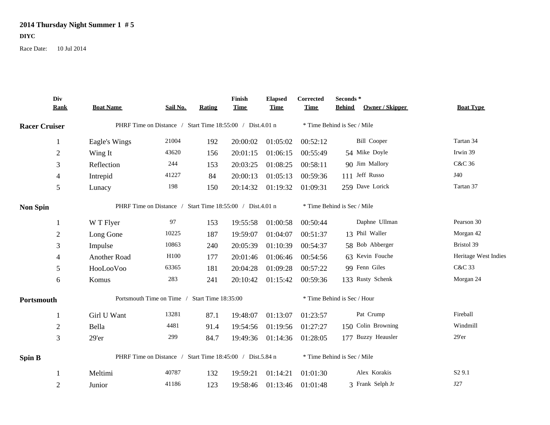## **2014 Thursday Night Summer 1 # 5**

**DIYC**

Race Date: 10 Jul 2014

|                      | Div<br><b>Rank</b> | <b>Boat Name</b>                                          | Sail No.         | Rating | Finish<br><b>Time</b>       | <b>Elapsed</b><br><b>Time</b> | Corrected<br><b>Time</b>    | Seconds*<br><b>Behind</b> | Owner / Skipper    | <b>Boat Type</b>     |
|----------------------|--------------------|-----------------------------------------------------------|------------------|--------|-----------------------------|-------------------------------|-----------------------------|---------------------------|--------------------|----------------------|
| <b>Racer Cruiser</b> |                    | PHRF Time on Distance / Start Time 18:55:00 / Dist.4.01 n |                  |        | * Time Behind is Sec / Mile |                               |                             |                           |                    |                      |
|                      | $\mathbf{1}$       | Eagle's Wings                                             | 21004            | 192    | 20:00:02                    | 01:05:02                      | 00:52:12                    |                           | <b>Bill Cooper</b> | Tartan 34            |
|                      | $\boldsymbol{2}$   | Wing It                                                   | 43620            | 156    | 20:01:15                    | 01:06:15                      | 00:55:49                    |                           | 54 Mike Doyle      | Irwin 39             |
|                      | 3                  | Reflection                                                | 244              | 153    | 20:03:25                    | 01:08:25                      | 00:58:11                    |                           | 90 Jim Mallory     | C&C 36               |
|                      | $\overline{4}$     | Intrepid                                                  | 41227            | 84     | 20:00:13                    | 01:05:13                      | 00:59:36                    |                           | 111 Jeff Russo     | J40                  |
|                      | 5                  | Lunacy                                                    | 198              | 150    | 20:14:32                    | 01:19:32                      | 01:09:31                    |                           | 259 Dave Lorick    | Tartan 37            |
| <b>Non Spin</b>      |                    | PHRF Time on Distance / Start Time 18:55:00 / Dist.4.01 n |                  |        |                             | * Time Behind is Sec / Mile   |                             |                           |                    |                      |
|                      | 1                  | W T Flyer                                                 | 97               | 153    | 19:55:58                    | 01:00:58                      | 00:50:44                    |                           | Daphne Ullman      | Pearson 30           |
|                      | $\mathfrak{2}$     | Long Gone                                                 | 10225            | 187    | 19:59:07                    | 01:04:07                      | 00:51:37                    |                           | 13 Phil Waller     | Morgan 42            |
|                      | 3                  | Impulse                                                   | 10863            | 240    | 20:05:39                    | 01:10:39                      | 00:54:37                    |                           | 58 Bob Abberger    | Bristol 39           |
|                      | $\overline{4}$     | Another Road                                              | H <sub>100</sub> | 177    | 20:01:46                    | 01:06:46                      | 00:54:56                    |                           | 63 Kevin Fouche    | Heritage West Indies |
|                      | 5                  | HooLooVoo                                                 | 63365            | 181    | 20:04:28                    | 01:09:28                      | 00:57:22                    |                           | 99 Fenn Giles      | C&C 33               |
|                      | 6                  | Komus                                                     | 283              | 241    | 20:10:42                    | 01:15:42                      | 00:59:36                    |                           | 133 Rusty Schenk   | Morgan 24            |
| Portsmouth           |                    | Portsmouth Time on Time / Start Time 18:35:00             |                  |        | * Time Behind is Sec / Hour |                               |                             |                           |                    |                      |
|                      | -1                 | Girl U Want                                               | 13281            | 87.1   | 19:48:07                    | 01:13:07                      | 01:23:57                    |                           | Pat Crump          | Fireball             |
|                      | $\overline{2}$     | Bella                                                     | 4481             | 91.4   | 19:54:56                    | 01:19:56                      | 01:27:27                    |                           | 150 Colin Browning | Windmill             |
|                      | $\mathfrak{Z}$     | 29'er                                                     | 299              | 84.7   | 19:49:36                    | 01:14:36                      | 01:28:05                    |                           | 177 Buzzy Heausler | 29'er                |
| <b>Spin B</b>        |                    | PHRF Time on Distance / Start Time 18:45:00 / Dist.5.84 n |                  |        |                             |                               | * Time Behind is Sec / Mile |                           |                    |                      |
|                      | -1                 | Meltimi                                                   | 40787            | 132    | 19:59:21                    | 01:14:21                      | 01:01:30                    |                           | Alex Korakis       | S <sub>2</sub> 9.1   |
|                      | $\overline{2}$     | Junior                                                    | 41186            | 123    | 19:58:46                    | 01:13:46                      | 01:01:48                    |                           | 3 Frank Selph Jr   | J27                  |